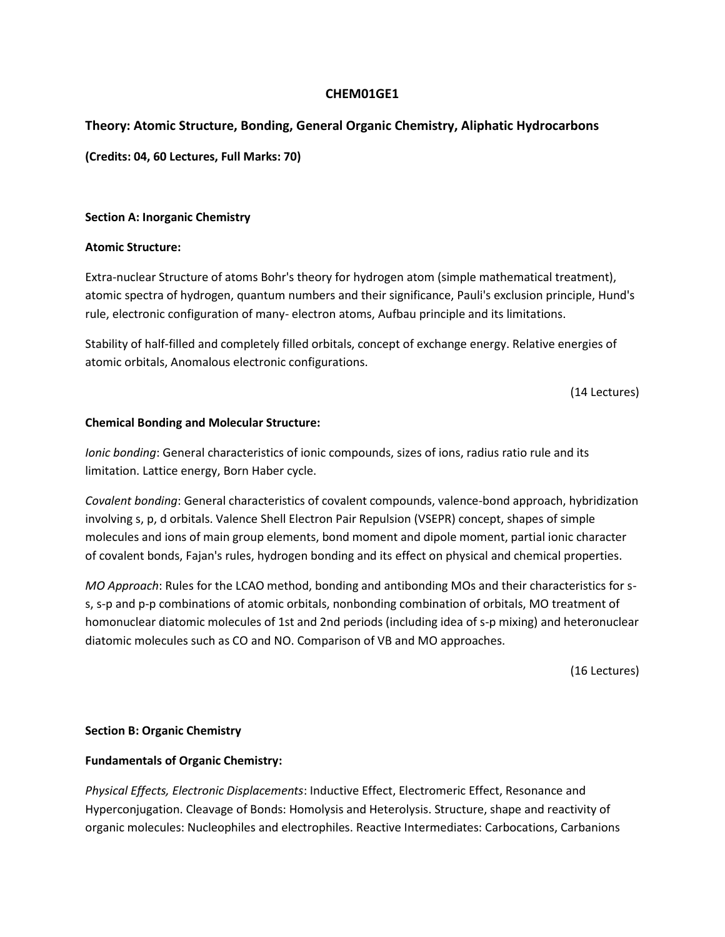# **CHEM01GE1**

# **Theory: Atomic Structure, Bonding, General Organic Chemistry, Aliphatic Hydrocarbons**

**(Credits: 04, 60 Lectures, Full Marks: 70)** 

## **Section A: Inorganic Chemistry**

## **Atomic Structure:**

Extra-nuclear Structure of atoms Bohr's theory for hydrogen atom (simple mathematical treatment), atomic spectra of hydrogen, quantum numbers and their significance, Pauli's exclusion principle, Hund's rule, electronic configuration of many- electron atoms, Aufbau principle and its limitations.

Stability of half-filled and completely filled orbitals, concept of exchange energy. Relative energies of atomic orbitals, Anomalous electronic configurations.

(14 Lectures)

## **Chemical Bonding and Molecular Structure:**

*Ionic bonding*: General characteristics of ionic compounds, sizes of ions, radius ratio rule and its limitation. Lattice energy, Born Haber cycle.

*Covalent bonding*: General characteristics of covalent compounds, valence-bond approach, hybridization involving s, p, d orbitals. Valence Shell Electron Pair Repulsion (VSEPR) concept, shapes of simple molecules and ions of main group elements, bond moment and dipole moment, partial ionic character of covalent bonds, Fajan's rules, hydrogen bonding and its effect on physical and chemical properties.

*MO Approach*: Rules for the LCAO method, bonding and antibonding MOs and their characteristics for ss, s-p and p-p combinations of atomic orbitals, nonbonding combination of orbitals, MO treatment of homonuclear diatomic molecules of 1st and 2nd periods (including idea of s-p mixing) and heteronuclear diatomic molecules such as CO and NO. Comparison of VB and MO approaches.

(16 Lectures)

## **Section B: Organic Chemistry**

# **Fundamentals of Organic Chemistry:**

*Physical Effects, Electronic Displacements*: Inductive Effect, Electromeric Effect, Resonance and Hyperconjugation. Cleavage of Bonds: Homolysis and Heterolysis. Structure, shape and reactivity of organic molecules: Nucleophiles and electrophiles. Reactive Intermediates: Carbocations, Carbanions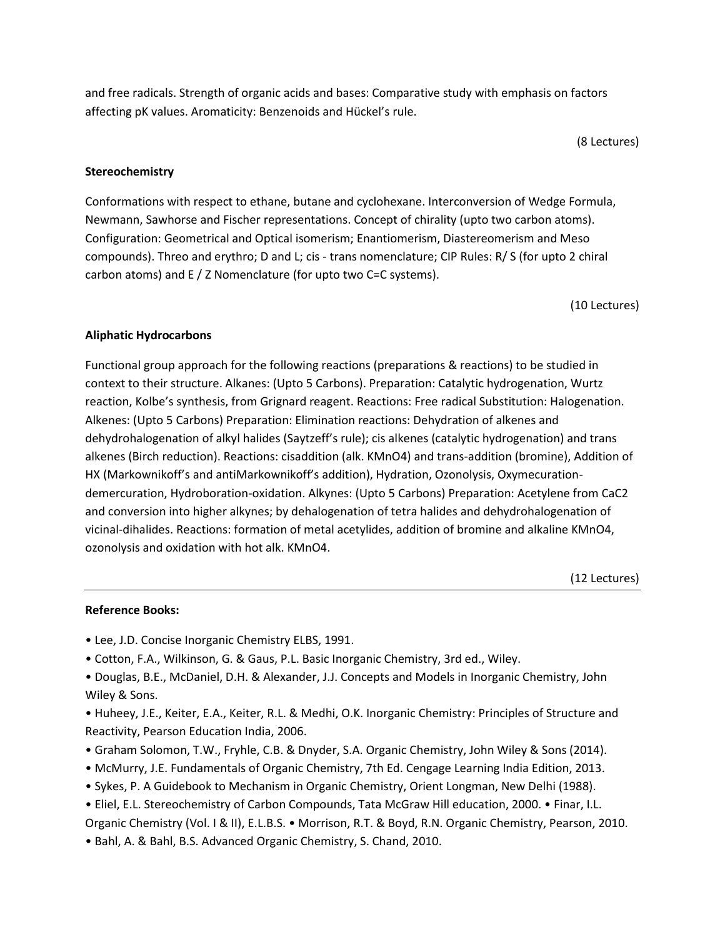and free radicals. Strength of organic acids and bases: Comparative study with emphasis on factors affecting pK values. Aromaticity: Benzenoids and Hückel's rule.

(8 Lectures)

#### **Stereochemistry**

Conformations with respect to ethane, butane and cyclohexane. Interconversion of Wedge Formula, Newmann, Sawhorse and Fischer representations. Concept of chirality (upto two carbon atoms). Configuration: Geometrical and Optical isomerism; Enantiomerism, Diastereomerism and Meso compounds). Threo and erythro; D and L; cis - trans nomenclature; CIP Rules: R/ S (for upto 2 chiral carbon atoms) and E / Z Nomenclature (for upto two C=C systems).

(10 Lectures)

#### **Aliphatic Hydrocarbons**

Functional group approach for the following reactions (preparations & reactions) to be studied in context to their structure. Alkanes: (Upto 5 Carbons). Preparation: Catalytic hydrogenation, Wurtz reaction, Kolbe's synthesis, from Grignard reagent. Reactions: Free radical Substitution: Halogenation. Alkenes: (Upto 5 Carbons) Preparation: Elimination reactions: Dehydration of alkenes and dehydrohalogenation of alkyl halides (Saytzeff's rule); cis alkenes (catalytic hydrogenation) and trans alkenes (Birch reduction). Reactions: cisaddition (alk. KMnO4) and trans-addition (bromine), Addition of HX (Markownikoff's and antiMarkownikoff's addition), Hydration, Ozonolysis, Oxymecurationdemercuration, Hydroboration-oxidation. Alkynes: (Upto 5 Carbons) Preparation: Acetylene from CaC2 and conversion into higher alkynes; by dehalogenation of tetra halides and dehydrohalogenation of vicinal-dihalides. Reactions: formation of metal acetylides, addition of bromine and alkaline KMnO4, ozonolysis and oxidation with hot alk. KMnO4.

(12 Lectures)

#### **Reference Books:**

- Lee, J.D. Concise Inorganic Chemistry ELBS, 1991.
- Cotton, F.A., Wilkinson, G. & Gaus, P.L. Basic Inorganic Chemistry, 3rd ed., Wiley.
- Douglas, B.E., McDaniel, D.H. & Alexander, J.J. Concepts and Models in Inorganic Chemistry, John Wiley & Sons.
- Huheey, J.E., Keiter, E.A., Keiter, R.L. & Medhi, O.K. Inorganic Chemistry: Principles of Structure and Reactivity, Pearson Education India, 2006.
- Graham Solomon, T.W., Fryhle, C.B. & Dnyder, S.A. Organic Chemistry, John Wiley & Sons (2014).
- McMurry, J.E. Fundamentals of Organic Chemistry, 7th Ed. Cengage Learning India Edition, 2013.
- Sykes, P. A Guidebook to Mechanism in Organic Chemistry, Orient Longman, New Delhi (1988).
- Eliel, E.L. Stereochemistry of Carbon Compounds, Tata McGraw Hill education, 2000. Finar, I.L.

Organic Chemistry (Vol. I & II), E.L.B.S. • Morrison, R.T. & Boyd, R.N. Organic Chemistry, Pearson, 2010.

• Bahl, A. & Bahl, B.S. Advanced Organic Chemistry, S. Chand, 2010.